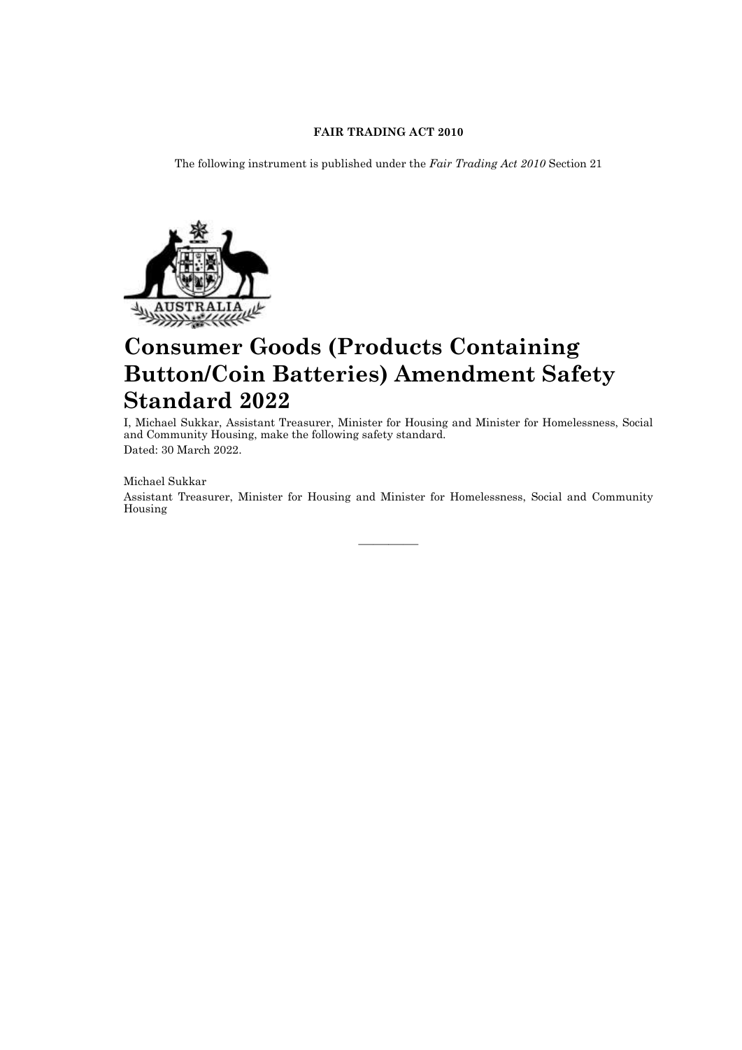## **FAIR TRADING ACT 2010**

The following instrument is published under the *Fair Trading Act 2010* Section 21



# **Consumer Goods (Products Containing Button/Coin Batteries) Amendment Safety Standard 2022**

I, Michael Sukkar, Assistant Treasurer, Minister for Housing and Minister for Homelessness, Social and Community Housing, make the following safety standard. Dated: 30 March 2022.

### Michael Sukkar

Assistant Treasurer, Minister for Housing and Minister for Homelessness, Social and Community Housing

————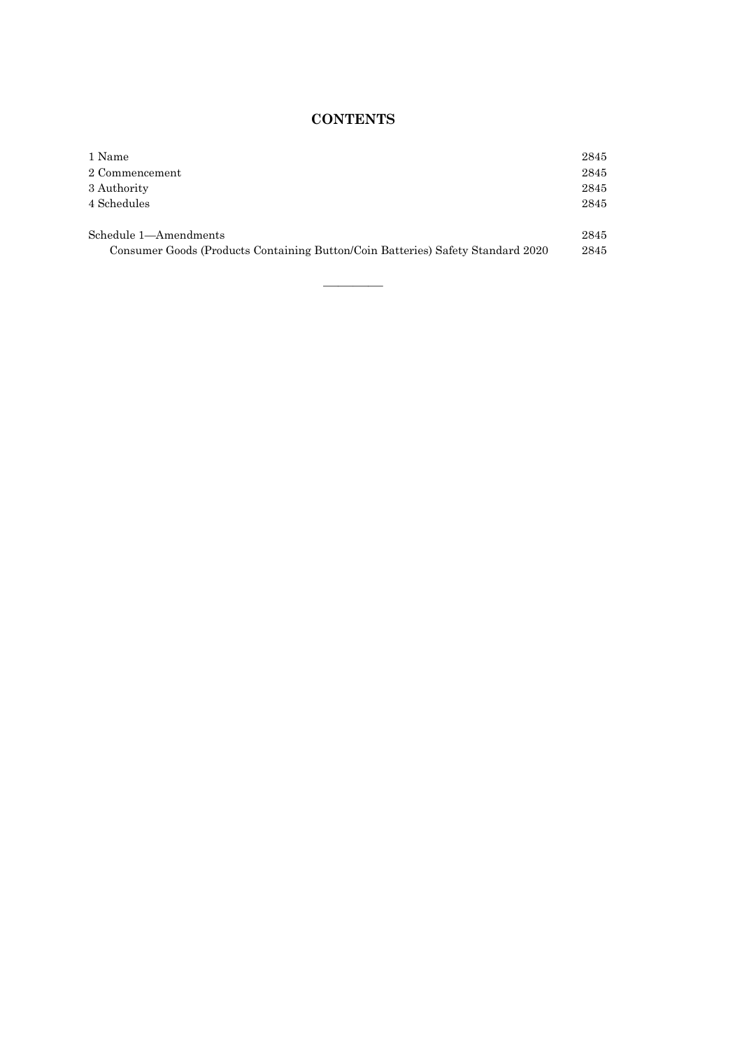# **CONTENTS**

| 1 Name                                                                          | 2845 |
|---------------------------------------------------------------------------------|------|
| 2 Commencement                                                                  | 2845 |
| 3 Authority                                                                     | 2845 |
| 4 Schedules                                                                     | 2845 |
| Schedule 1-Amendments                                                           | 2845 |
|                                                                                 |      |
| Consumer Goods (Products Containing Button/Coin Batteries) Safety Standard 2020 | 2845 |
|                                                                                 |      |

————